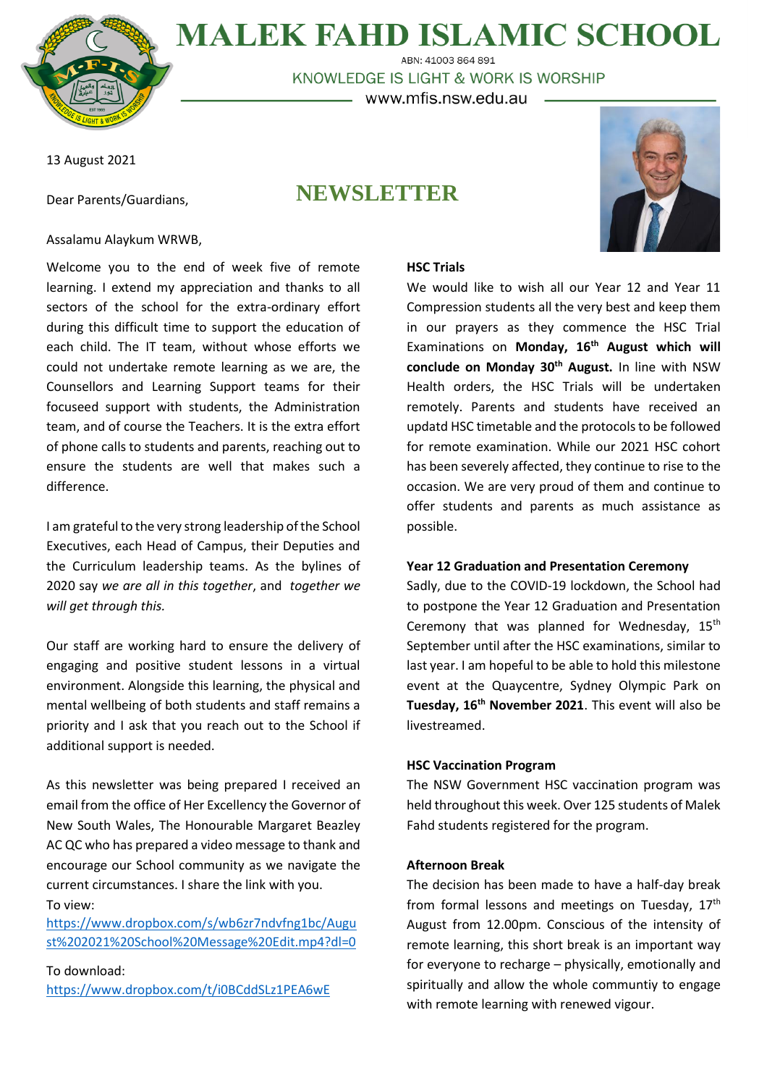

**MALEK FAHD ISLAMIC SCHOOL** ABN: 41003 864 891

KNOWLEDGE IS LIGHT & WORK IS WORSHIP

– www.mfis.nsw.edu.au

13 August 2021

Dear Parents/Guardians,

# **NEWSLETTER**



# Assalamu Alaykum WRWB,

Welcome you to the end of week five of remote learning. I extend my appreciation and thanks to all sectors of the school for the extra-ordinary effort during this difficult time to support the education of each child. The IT team, without whose efforts we could not undertake remote learning as we are, the Counsellors and Learning Support teams for their focuseed support with students, the Administration team, and of course the Teachers. It is the extra effort of phone calls to students and parents, reaching out to ensure the students are well that makes such a difference.

I am grateful to the very strong leadership of the School Executives, each Head of Campus, their Deputies and the Curriculum leadership teams. As the bylines of 2020 say *we are all in this together*, and *together we will get through this.*

Our staff are working hard to ensure the delivery of engaging and positive student lessons in a virtual environment. Alongside this learning, the physical and mental wellbeing of both students and staff remains a priority and I ask that you reach out to the School if additional support is needed.

As this newsletter was being prepared I received an email from the office of Her Excellency the Governor of New South Wales, The Honourable Margaret Beazley AC QC who has prepared a video message to thank and encourage our School community as we navigate the current circumstances. I share the link with you. To view:

[https://www.dropbox.com/s/wb6zr7ndvfng1bc/Augu](https://aus01.safelinks.protection.outlook.com/?url=https%3A%2F%2Fwww.dropbox.com%2Fs%2Fwb6zr7ndvfng1bc%2FAugust%25202021%2520School%2520Message%2520Edit.mp4%3Fdl%3D0&data=04%7C01%7Cprincipal%40mfis.nsw.edu.au%7Cd34a18f4064f48baca0608d95d65b6e2%7Ce16a2b49cc2e41aeb8d255af86c551f0%7C0%7C0%7C637643513769565773%7CUnknown%7CTWFpbGZsb3d8eyJWIjoiMC4wLjAwMDAiLCJQIjoiV2luMzIiLCJBTiI6Ik1haWwiLCJXVCI6Mn0%3D%7C1000&sdata=BDHvKlBO0n6fTARRI%2BwvOa4ujSI92UjuBHDnlQnkAQ4%3D&reserved=0) [st%202021%20School%20Message%20Edit.mp4?dl=0](https://aus01.safelinks.protection.outlook.com/?url=https%3A%2F%2Fwww.dropbox.com%2Fs%2Fwb6zr7ndvfng1bc%2FAugust%25202021%2520School%2520Message%2520Edit.mp4%3Fdl%3D0&data=04%7C01%7Cprincipal%40mfis.nsw.edu.au%7Cd34a18f4064f48baca0608d95d65b6e2%7Ce16a2b49cc2e41aeb8d255af86c551f0%7C0%7C0%7C637643513769565773%7CUnknown%7CTWFpbGZsb3d8eyJWIjoiMC4wLjAwMDAiLCJQIjoiV2luMzIiLCJBTiI6Ik1haWwiLCJXVCI6Mn0%3D%7C1000&sdata=BDHvKlBO0n6fTARRI%2BwvOa4ujSI92UjuBHDnlQnkAQ4%3D&reserved=0)

To download: [https://www.dropbox.com/t/i0BCddSLz1PEA6wE](https://aus01.safelinks.protection.outlook.com/?url=https%3A%2F%2Fwww.dropbox.com%2Ft%2Fi0BCddSLz1PEA6wE&data=04%7C01%7Cprincipal%40mfis.nsw.edu.au%7Cd34a18f4064f48baca0608d95d65b6e2%7Ce16a2b49cc2e41aeb8d255af86c551f0%7C0%7C0%7C637643513769565773%7CUnknown%7CTWFpbGZsb3d8eyJWIjoiMC4wLjAwMDAiLCJQIjoiV2luMzIiLCJBTiI6Ik1haWwiLCJXVCI6Mn0%3D%7C1000&sdata=yiogSQloebffHlKQ0tBYoxgUCY0cjV%2F7IYox3uoP08Y%3D&reserved=0)

## **HSC Trials**

We would like to wish all our Year 12 and Year 11 Compression students all the very best and keep them in our prayers as they commence the HSC Trial Examinations on **Monday, 16th August which will conclude on Monday 30th August.** In line with NSW Health orders, the HSC Trials will be undertaken remotely. Parents and students have received an updatd HSC timetable and the protocols to be followed for remote examination. While our 2021 HSC cohort has been severely affected, they continue to rise to the occasion. We are very proud of them and continue to offer students and parents as much assistance as possible.

#### **Year 12 Graduation and Presentation Ceremony**

Sadly, due to the COVID-19 lockdown, the School had to postpone the Year 12 Graduation and Presentation Ceremony that was planned for Wednesday, 15<sup>th</sup> September until after the HSC examinations, similar to last year. I am hopeful to be able to hold this milestone event at the Quaycentre, Sydney Olympic Park on **Tuesday, 16th November 2021**. This event will also be livestreamed.

# **HSC Vaccination Program**

The NSW Government HSC vaccination program was held throughout this week. Over 125 students of Malek Fahd students registered for the program.

#### **Afternoon Break**

The decision has been made to have a half-day break from formal lessons and meetings on Tuesday,  $17<sup>th</sup>$ August from 12.00pm. Conscious of the intensity of remote learning, this short break is an important way for everyone to recharge – physically, emotionally and spiritually and allow the whole communtiy to engage with remote learning with renewed vigour.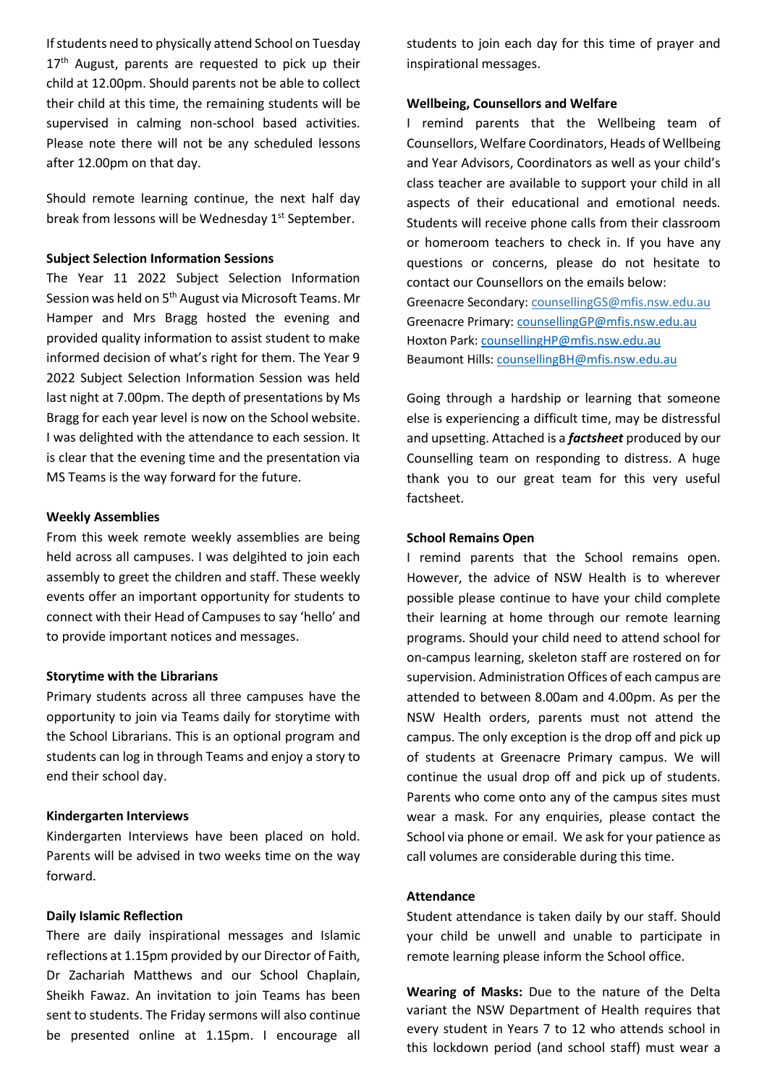If students need to physically attend School on Tuesday 17<sup>th</sup> August, parents are requested to pick up their child at 12.00pm. Should parents not be able to collect their child at this time, the remaining students will be supervised in calming non-school based activities. Please note there will not be any scheduled lessons after 12.00pm on that day.

Should remote learning continue, the next half day break from lessons will be Wednesday 1<sup>st</sup> September.

## **Subject Selection Information Sessions**

The Year 11 2022 Subject Selection Information Session was held on 5<sup>th</sup> August via Microsoft Teams. Mr Hamper and Mrs Bragg hosted the evening and provided quality information to assist student to make informed decision of what's right for them. The Year 9 2022 Subject Selection Information Session was held last night at 7.00pm. The depth of presentations by Ms Bragg for each year level is now on the School website. I was delighted with the attendance to each session. It is clear that the evening time and the presentation via MS Teams is the way forward for the future.

#### **Weekly Assemblies**

From this week remote weekly assemblies are being held across all campuses. I was delgihted to join each assembly to greet the children and staff. These weekly events offer an important opportunity for students to connect with their Head of Campuses to say 'hello' and to provide important notices and messages.

#### **Storytime with the Librarians**

Primary students across all three campuses have the opportunity to join via Teams daily for storytime with the School Librarians. This is an optional program and students can log in through Teams and enjoy a story to end their school day.

#### **Kindergarten Interviews**

Kindergarten Interviews have been placed on hold. Parents will be advised in two weeks time on the way forward.

#### **Daily Islamic Reflection**

There are daily inspirational messages and Islamic reflections at 1.15pm provided by our Director of Faith, Dr Zachariah Matthews and our School Chaplain, Sheikh Fawaz. An invitation to join Teams has been sent to students. The Friday sermons will also continue be presented online at 1.15pm. I encourage all students to join each day for this time of prayer and inspirational messages.

#### **Wellbeing, Counsellors and Welfare**

I remind parents that the Wellbeing team of Counsellors, Welfare Coordinators, Heads of Wellbeing and Year Advisors, Coordinators as well as your child's class teacher are available to support your child in all aspects of their educational and emotional needs. Students will receive phone calls from their classroom or homeroom teachers to check in. If you have any questions or concerns, please do not hesitate to contact our Counsellors on the emails below: Greenacre Secondary: [counsellingGS@mfis.nsw.edu.au](mailto:counsellingGS@mfis.nsw.edu.au) Greenacre Primary: [counsellingGP@mfis.nsw.edu.au](mailto:counsellingGP@mfis.nsw.edu.au) Hoxton Park: [counsellingHP@mfis.nsw.edu.au](mailto:counsellingHP@mfis.nsw.edu.au) Beaumont Hills[: counsellingBH@mfis.nsw.edu.au](mailto:counsellingBH@mfis.nsw.edu.au)

Going through a hardship or learning that someone else is experiencing a difficult time, may be distressful and upsetting. Attached is a *factsheet* produced by our Counselling team on responding to distress. A huge thank you to our great team for this very useful factsheet.

## **School Remains Open**

I remind parents that the School remains open. However, the advice of NSW Health is to wherever possible please continue to have your child complete their learning at home through our remote learning programs. Should your child need to attend school for on-campus learning, skeleton staff are rostered on for supervision. Administration Offices of each campus are attended to between 8.00am and 4.00pm. As per the NSW Health orders, parents must not attend the campus. The only exception is the drop off and pick up of students at Greenacre Primary campus. We will continue the usual drop off and pick up of students. Parents who come onto any of the campus sites must wear a mask. For any enquiries, please contact the School via phone or email. We ask for your patience as call volumes are considerable during this time.

#### **Attendance**

Student attendance is taken daily by our staff. Should your child be unwell and unable to participate in remote learning please inform the School office.

**Wearing of Masks:** Due to the nature of the Delta variant the NSW Department of Health requires that every student in Years 7 to 12 who attends school in this lockdown period (and school staff) must wear a